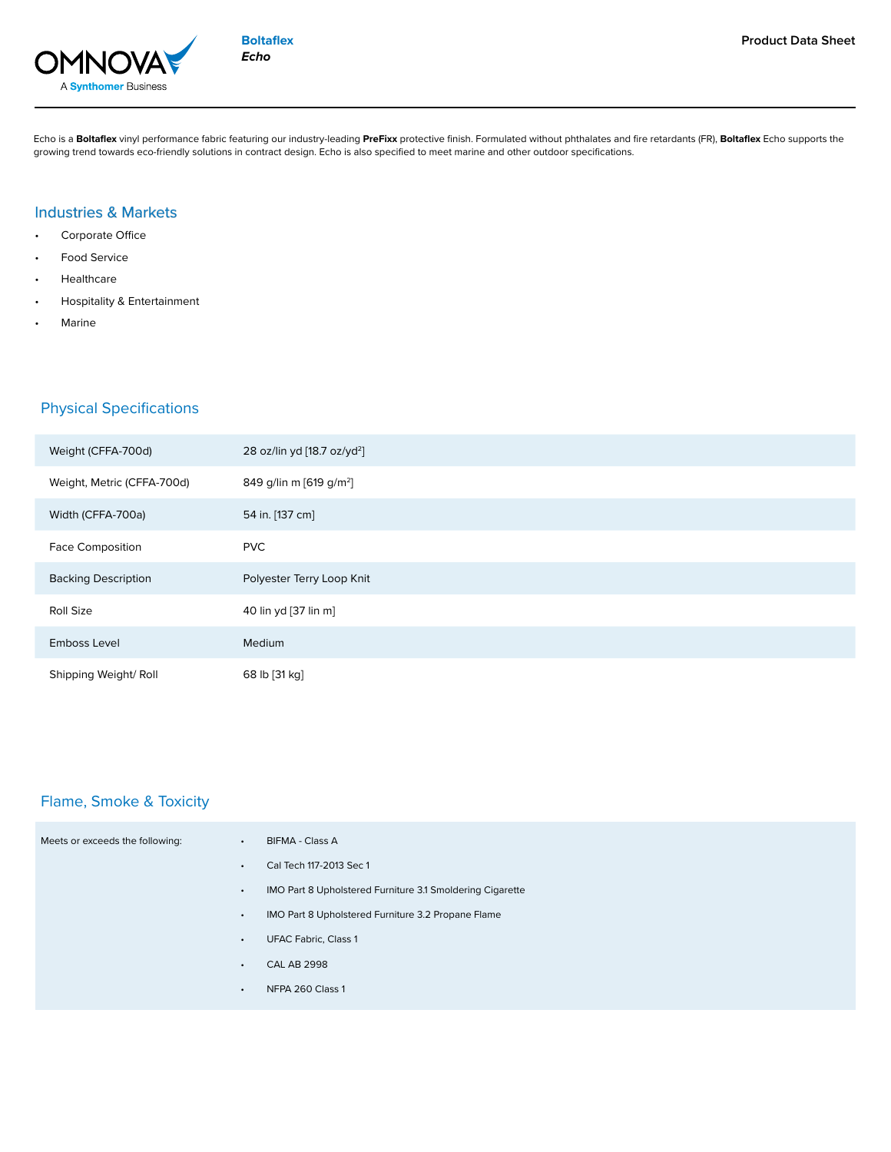

**Boltaflex** *Echo*

Echo is a **Boltaflex** vinyl performance fabric featuring our industry-leading **PreFixx** protective finish. Formulated without phthalates and fire retardants (FR), **Boltaflex** Echo supports the growing trend towards eco-friendly solutions in contract design. Echo is also specified to meet marine and other outdoor specifications.

### Industries & Markets

- Corporate Office
- Food Service
- **Healthcare**
- Hospitality & Entertainment
- **Marine**

## Physical Specifications

| Weight (CFFA-700d)         | 28 oz/lin yd [18.7 oz/yd <sup>2</sup> ] |
|----------------------------|-----------------------------------------|
| Weight, Metric (CFFA-700d) | 849 g/lin m [619 g/m <sup>2</sup> ]     |
| Width (CFFA-700a)          | 54 in. [137 cm]                         |
| <b>Face Composition</b>    | <b>PVC</b>                              |
| <b>Backing Description</b> | Polyester Terry Loop Knit               |
| Roll Size                  | 40 lin yd [37 lin m]                    |
| Emboss Level               | Medium                                  |
| Shipping Weight/ Roll      | 68 lb [31 kg]                           |

## Flame, Smoke & Toxicity

| Meets or exceeds the following: | $\bullet$ | <b>BIFMA - Class A</b>                                    |
|---------------------------------|-----------|-----------------------------------------------------------|
|                                 | $\bullet$ | Cal Tech 117-2013 Sec 1                                   |
|                                 | $\bullet$ | IMO Part 8 Upholstered Furniture 3.1 Smoldering Cigarette |
|                                 | $\bullet$ | IMO Part 8 Upholstered Furniture 3.2 Propane Flame        |
|                                 | $\bullet$ | <b>UFAC Fabric, Class 1</b>                               |
|                                 | $\bullet$ | <b>CAL AB 2998</b>                                        |
|                                 | $\bullet$ | NFPA 260 Class 1                                          |
|                                 |           |                                                           |